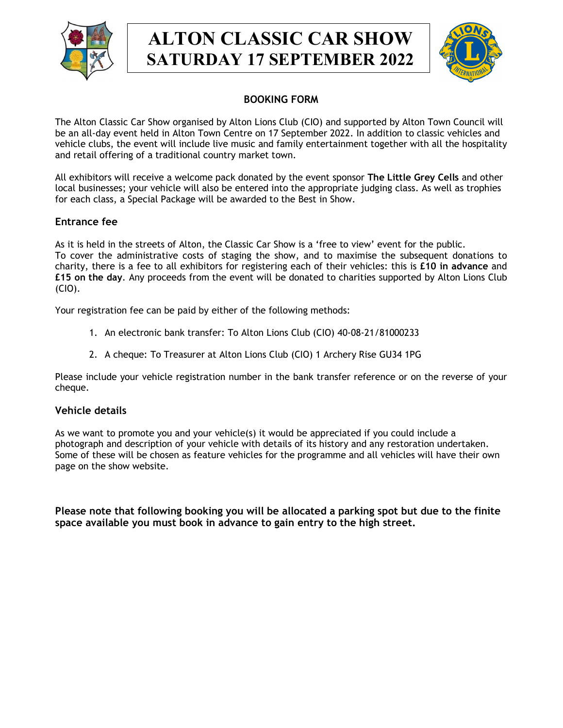

# ALTON CLASSIC CAR SHOW SATURDAY 17 SEPTEMBER 2022



# BOOKING FORM

The Alton Classic Car Show organised by Alton Lions Club (CIO) and supported by Alton Town Council will be an all-day event held in Alton Town Centre on 17 September 2022. In addition to classic vehicles and vehicle clubs, the event will include live music and family entertainment together with all the hospitality and retail offering of a traditional country market town.

All exhibitors will receive a welcome pack donated by the event sponsor The Little Grey Cells and other local businesses; your vehicle will also be entered into the appropriate judging class. As well as trophies for each class, a Special Package will be awarded to the Best in Show.

### Entrance fee

As it is held in the streets of Alton, the Classic Car Show is a 'free to view' event for the public. To cover the administrative costs of staging the show, and to maximise the subsequent donations to charity, there is a fee to all exhibitors for registering each of their vehicles: this is £10 in advance and £15 on the day. Any proceeds from the event will be donated to charities supported by Alton Lions Club (CIO).

Your registration fee can be paid by either of the following methods:

- 1. An electronic bank transfer: To Alton Lions Club (CIO) 40-08-21/81000233
- 2. A cheque: To Treasurer at Alton Lions Club (CIO) 1 Archery Rise GU34 1PG

Please include your vehicle registration number in the bank transfer reference or on the reverse of your cheque.

#### Vehicle details

As we want to promote you and your vehicle(s) it would be appreciated if you could include a photograph and description of your vehicle with details of its history and any restoration undertaken. Some of these will be chosen as feature vehicles for the programme and all vehicles will have their own page on the show website.

Please note that following booking you will be allocated a parking spot but due to the finite space available you must book in advance to gain entry to the high street.